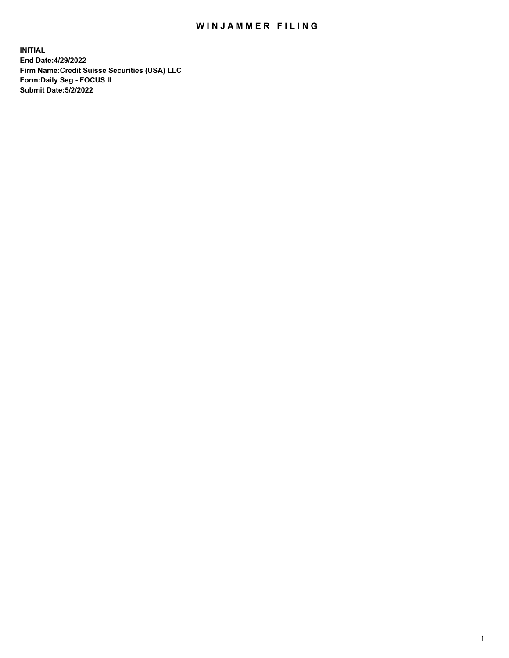# WIN JAMMER FILING

**INITIAL End Date:4/29/2022 Firm Name:Credit Suisse Securities (USA) LLC Form:Daily Seg - FOCUS II Submit Date:5/2/2022**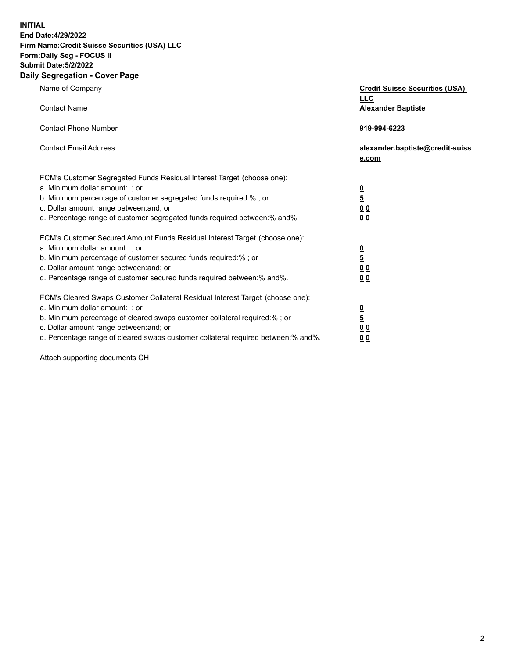**INITIAL**

#### **End Date:4/29/2022 Firm Name:Credit Suisse Securities (USA) LLC Form:Daily Seg - FOCUS II**

## **Submit Date:5/2/2022**

### **Daily Segregation - Cover Page**

| Name of Company                                                                   | <b>Credit Suisse Securities (USA)</b><br><u>LLC</u> |
|-----------------------------------------------------------------------------------|-----------------------------------------------------|
| <b>Contact Name</b>                                                               | <b>Alexander Baptiste</b>                           |
| <b>Contact Phone Number</b>                                                       | 919-994-6223                                        |
| <b>Contact Email Address</b>                                                      | alexander.baptiste@credit-suiss<br>e.com            |
| FCM's Customer Segregated Funds Residual Interest Target (choose one):            |                                                     |
| a. Minimum dollar amount: ; or                                                    |                                                     |
| b. Minimum percentage of customer segregated funds required:% ; or                | $\frac{0}{5}$                                       |
| c. Dollar amount range between: and; or                                           | $\underline{0}$ $\underline{0}$                     |
| d. Percentage range of customer segregated funds required between:% and%.         | 0 <sub>0</sub>                                      |
| FCM's Customer Secured Amount Funds Residual Interest Target (choose one):        |                                                     |
| a. Minimum dollar amount: ; or                                                    | $\frac{\frac{0}{5}}{\frac{0}{0}}$                   |
| b. Minimum percentage of customer secured funds required:% ; or                   |                                                     |
| c. Dollar amount range between: and; or                                           |                                                     |
| d. Percentage range of customer secured funds required between:% and%.            | 0 <sub>0</sub>                                      |
| FCM's Cleared Swaps Customer Collateral Residual Interest Target (choose one):    |                                                     |
| a. Minimum dollar amount: ; or                                                    | $\frac{0}{5}$                                       |
| b. Minimum percentage of cleared swaps customer collateral required:% ; or        |                                                     |
| c. Dollar amount range between: and; or                                           | 0 <sub>0</sub>                                      |
| d. Percentage range of cleared swaps customer collateral required between:% and%. | 0 <sub>0</sub>                                      |

Attach supporting documents CH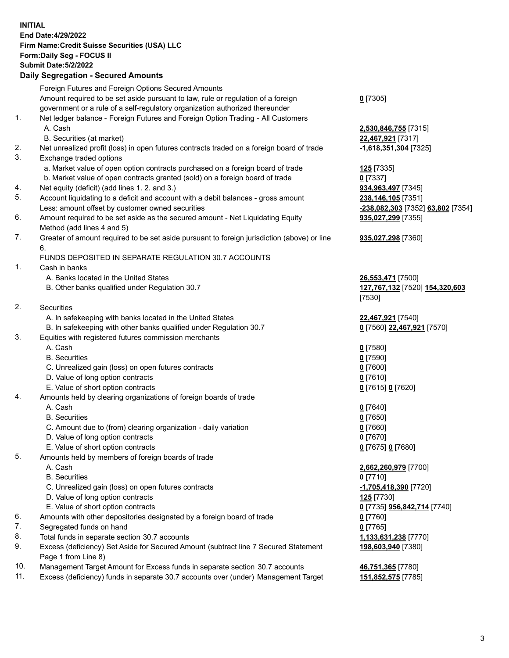**INITIAL End Date:4/29/2022 Firm Name:Credit Suisse Securities (USA) LLC Form:Daily Seg - FOCUS II Submit Date:5/2/2022**

#### **Daily Segregation - Secured Amounts**

|     | Foreign Futures and Foreign Options Secured Amounts                                         |                                   |
|-----|---------------------------------------------------------------------------------------------|-----------------------------------|
|     | Amount required to be set aside pursuant to law, rule or regulation of a foreign            | $0$ [7305]                        |
|     | government or a rule of a self-regulatory organization authorized thereunder                |                                   |
| 1.  | Net ledger balance - Foreign Futures and Foreign Option Trading - All Customers             |                                   |
|     | A. Cash                                                                                     | 2,530,846,755 [7315]              |
|     | B. Securities (at market)                                                                   | 22,467,921 [7317]                 |
| 2.  | Net unrealized profit (loss) in open futures contracts traded on a foreign board of trade   | $-1,618,351,304$ [7325]           |
| 3.  | Exchange traded options                                                                     |                                   |
|     | a. Market value of open option contracts purchased on a foreign board of trade              | 125 [7335]                        |
|     | b. Market value of open contracts granted (sold) on a foreign board of trade                | $0$ [7337]                        |
| 4.  | Net equity (deficit) (add lines 1. 2. and 3.)                                               | 934,963,497 [7345]                |
| 5.  | Account liquidating to a deficit and account with a debit balances - gross amount           | 238,146,105 [7351]                |
|     | Less: amount offset by customer owned securities                                            | -238,082,303 [7352] 63,802 [7354] |
| 6.  | Amount required to be set aside as the secured amount - Net Liquidating Equity              | 935,027,299 [7355]                |
|     | Method (add lines 4 and 5)                                                                  |                                   |
| 7.  | Greater of amount required to be set aside pursuant to foreign jurisdiction (above) or line | 935,027,298 [7360]                |
|     | 6.                                                                                          |                                   |
|     | FUNDS DEPOSITED IN SEPARATE REGULATION 30.7 ACCOUNTS                                        |                                   |
| 1.  | Cash in banks                                                                               |                                   |
|     | A. Banks located in the United States                                                       | 26,553,471 [7500]                 |
|     | B. Other banks qualified under Regulation 30.7                                              | 127,767,132 [7520] 154,320,603    |
|     |                                                                                             | [7530]                            |
| 2.  | Securities                                                                                  |                                   |
|     | A. In safekeeping with banks located in the United States                                   | 22,467,921 [7540]                 |
|     | B. In safekeeping with other banks qualified under Regulation 30.7                          | 0 [7560] 22,467,921 [7570]        |
| 3.  | Equities with registered futures commission merchants                                       |                                   |
|     | A. Cash                                                                                     | $0$ [7580]                        |
|     | <b>B.</b> Securities                                                                        | $0$ [7590]                        |
|     | C. Unrealized gain (loss) on open futures contracts                                         | $0$ [7600]                        |
|     | D. Value of long option contracts                                                           | $0$ [7610]                        |
|     | E. Value of short option contracts                                                          | 0 [7615] 0 [7620]                 |
| 4.  | Amounts held by clearing organizations of foreign boards of trade                           |                                   |
|     | A. Cash                                                                                     | $0$ [7640]                        |
|     | <b>B.</b> Securities                                                                        | $0$ [7650]                        |
|     | C. Amount due to (from) clearing organization - daily variation                             | $0$ [7660]                        |
|     | D. Value of long option contracts                                                           | $0$ [7670]                        |
|     | E. Value of short option contracts                                                          | 0 [7675] 0 [7680]                 |
| 5.  | Amounts held by members of foreign boards of trade                                          |                                   |
|     | A. Cash                                                                                     | 2,662,260,979 [7700]              |
|     | <b>B.</b> Securities                                                                        | $0$ [7710]                        |
|     | C. Unrealized gain (loss) on open futures contracts                                         | -1,705,418,390 [7720]             |
|     | D. Value of long option contracts                                                           | 125 [7730]                        |
|     | E. Value of short option contracts                                                          | 0 [7735] 956,842,714 [7740]       |
| 6.  | Amounts with other depositories designated by a foreign board of trade                      | 0 [7760]                          |
| 7.  | Segregated funds on hand                                                                    | $0$ [7765]                        |
| 8.  | Total funds in separate section 30.7 accounts                                               | 1,133,631,238 [7770]              |
| 9.  | Excess (deficiency) Set Aside for Secured Amount (subtract line 7 Secured Statement         | 198,603,940 [7380]                |
|     | Page 1 from Line 8)                                                                         |                                   |
| 10. | Management Target Amount for Excess funds in separate section 30.7 accounts                 | 46,751,365 [7780]                 |
|     |                                                                                             |                                   |

11. Excess (deficiency) funds in separate 30.7 accounts over (under) Management Target **151,852,575** [7785]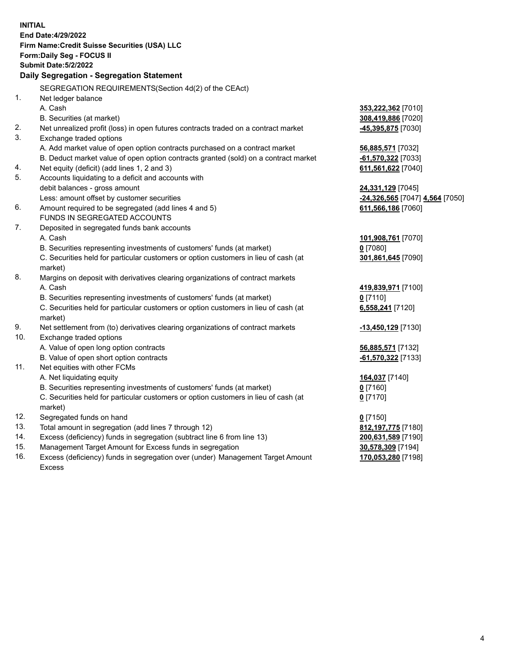|            | <b>INITIAL</b>                                                                       |                                          |
|------------|--------------------------------------------------------------------------------------|------------------------------------------|
|            | End Date: 4/29/2022                                                                  |                                          |
|            | Firm Name: Credit Suisse Securities (USA) LLC                                        |                                          |
|            | Form: Daily Seg - FOCUS II                                                           |                                          |
|            | <b>Submit Date: 5/2/2022</b>                                                         |                                          |
|            | Daily Segregation - Segregation Statement                                            |                                          |
|            | SEGREGATION REQUIREMENTS(Section 4d(2) of the CEAct)                                 |                                          |
| 1.         | Net ledger balance                                                                   |                                          |
|            | A. Cash                                                                              |                                          |
|            | B. Securities (at market)                                                            | 353,222,362 [7010]                       |
| 2.         |                                                                                      | 308,419,886 [7020]<br>-45,395,875 [7030] |
| 3.         | Net unrealized profit (loss) in open futures contracts traded on a contract market   |                                          |
|            | Exchange traded options                                                              |                                          |
|            | A. Add market value of open option contracts purchased on a contract market          | 56,885,571 [7032]                        |
|            | B. Deduct market value of open option contracts granted (sold) on a contract market  | -61,570,322 [7033]                       |
| 4.         | Net equity (deficit) (add lines 1, 2 and 3)                                          | 611,561,622 [7040]                       |
| 5.         | Accounts liquidating to a deficit and accounts with                                  |                                          |
|            | debit balances - gross amount                                                        | 24,331,129 [7045]                        |
|            | Less: amount offset by customer securities                                           | -24,326,565 [7047] 4,564 [7050]          |
| 6.         | Amount required to be segregated (add lines 4 and 5)<br>FUNDS IN SEGREGATED ACCOUNTS | 611,566,186 [7060]                       |
|            |                                                                                      |                                          |
| 7.         | Deposited in segregated funds bank accounts                                          |                                          |
|            | A. Cash                                                                              | 101,908,761 [7070]                       |
|            | B. Securities representing investments of customers' funds (at market)               | $0$ [7080]                               |
|            | C. Securities held for particular customers or option customers in lieu of cash (at  | 301,861,645 [7090]                       |
|            | market)                                                                              |                                          |
| 8.         | Margins on deposit with derivatives clearing organizations of contract markets       |                                          |
|            | A. Cash                                                                              | 419,839,971 [7100]                       |
|            | B. Securities representing investments of customers' funds (at market)               | $0$ [7110]                               |
|            | C. Securities held for particular customers or option customers in lieu of cash (at  | 6,558,241 [7120]                         |
| 9.         | market)                                                                              |                                          |
| 10.        | Net settlement from (to) derivatives clearing organizations of contract markets      | -13,450,129 [7130]                       |
|            | Exchange traded options                                                              |                                          |
|            | A. Value of open long option contracts                                               | 56,885,571 [7132]                        |
| 11.        | B. Value of open short option contracts<br>Net equities with other FCMs              | -61,570,322 [7133]                       |
|            |                                                                                      |                                          |
|            | A. Net liquidating equity                                                            | 164,037 [7140]                           |
|            | B. Securities representing investments of customers' funds (at market)               | $0$ [7160]                               |
|            | C. Securities held for particular customers or option customers in lieu of cash (at  | $0$ [7170]                               |
|            | market)                                                                              |                                          |
| 12.        | Segregated funds on hand                                                             | $0$ [7150]                               |
| 13.        | Total amount in segregation (add lines 7 through 12)                                 | 812, 197, 775 [7180]                     |
| 14.<br>15. | Excess (deficiency) funds in segregation (subtract line 6 from line 13)              | 200,631,589 [7190]                       |
| 16.        | Management Target Amount for Excess funds in segregation                             | 30,578,309 [7194]                        |
|            | Excess (deficiency) funds in segregation over (under) Management Target Amount       | 170,053,280 [7198]                       |
|            | Excess                                                                               |                                          |